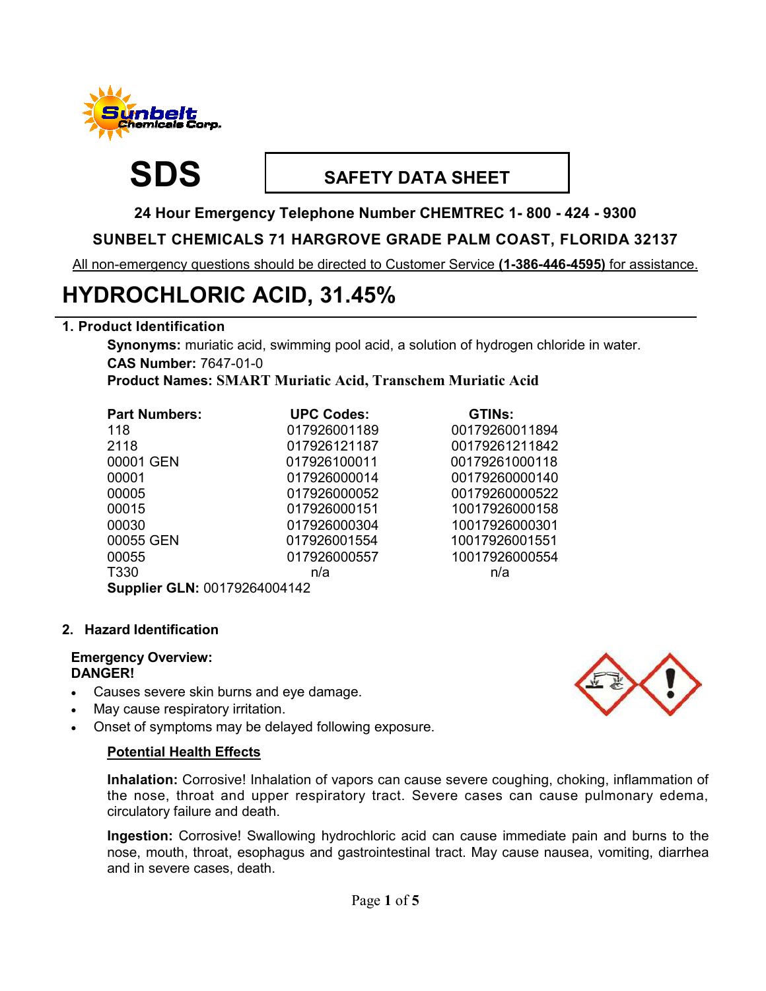

# **SDS SAFETY DATA SHEET**

**24 Hour Emergency Telephone Number CHEMTREC 1- 800 - 424 - 9300** 

# **SUNBELT CHEMICALS 71 HARGROVE GRADE PALM COAST, FLORIDA 32137**

All non-emergency questions should be directed to Customer Service **(1-386-446-4595)** for assistance.

# **HYDROCHLORIC ACID, 31.45%**

# **1. Product Identification**

**Synonyms:** muriatic acid, swimming pool acid, a solution of hydrogen chloride in water. **CAS Number:** 7647-01-0

**Product Names: SMART Muriatic Acid, Transchem Muriatic Acid** 

| <b>Part Numbers:</b>         | <b>UPC Codes:</b> | <b>GTINs:</b>  |  |  |
|------------------------------|-------------------|----------------|--|--|
| 118                          | 017926001189      | 00179260011894 |  |  |
| 2118                         | 017926121187      | 00179261211842 |  |  |
| 00001 GEN                    | 017926100011      | 00179261000118 |  |  |
| 00001                        | 017926000014      | 00179260000140 |  |  |
| 00005                        | 017926000052      | 00179260000522 |  |  |
| 00015                        | 017926000151      | 10017926000158 |  |  |
| 00030                        | 017926000304      | 10017926000301 |  |  |
| 00055 GEN                    | 017926001554      | 10017926001551 |  |  |
| 00055                        | 017926000557      | 10017926000554 |  |  |
| T330                         | n/a               | n/a            |  |  |
| Supplier GLN: 00179264004142 |                   |                |  |  |

**2. Hazard Identification** 

#### **Emergency Overview: DANGER!**

- Causes severe skin burns and eye damage.
- May cause respiratory irritation.
- Onset of symptoms may be delayed following exposure.

# **Potential Health Effects**

**Inhalation:** Corrosive! Inhalation of vapors can cause severe coughing, choking, inflammation of the nose, throat and upper respiratory tract. Severe cases can cause pulmonary edema, circulatory failure and death.

**Ingestion:** Corrosive! Swallowing hydrochloric acid can cause immediate pain and burns to the nose, mouth, throat, esophagus and gastrointestinal tract. May cause nausea, vomiting, diarrhea and in severe cases, death.

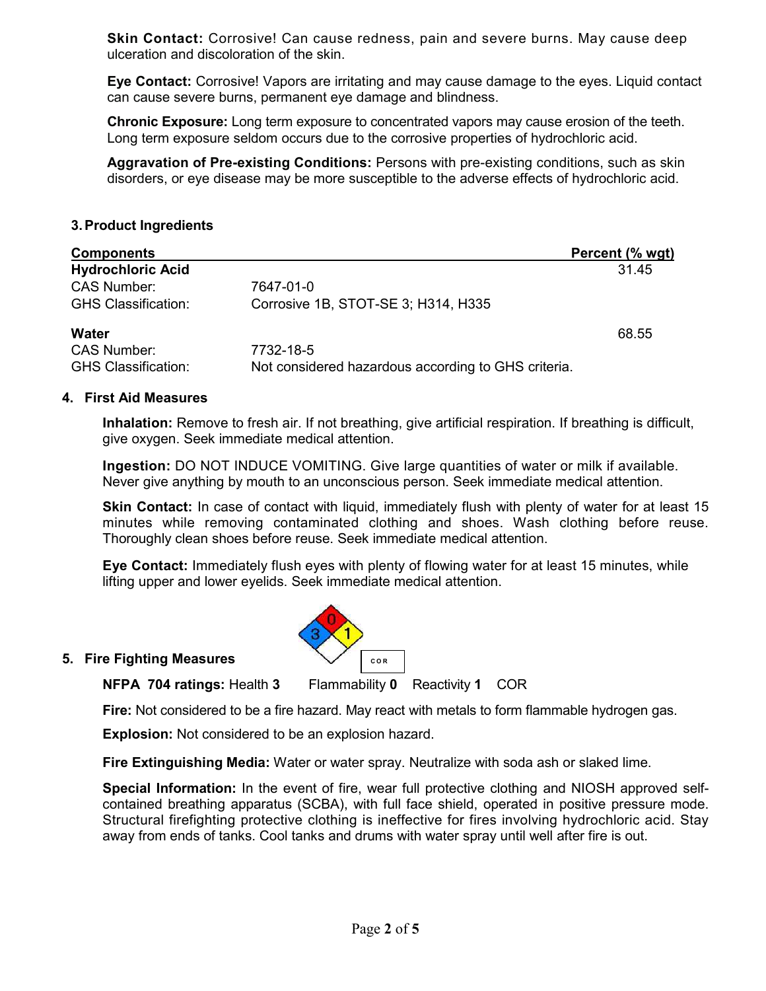**Skin Contact:** Corrosive! Can cause redness, pain and severe burns. May cause deep ulceration and discoloration of the skin.

**Eye Contact:** Corrosive! Vapors are irritating and may cause damage to the eyes. Liquid contact can cause severe burns, permanent eye damage and blindness.

**Chronic Exposure:** Long term exposure to concentrated vapors may cause erosion of the teeth. Long term exposure seldom occurs due to the corrosive properties of hydrochloric acid.

**Aggravation of Pre-existing Conditions:** Persons with pre-existing conditions, such as skin disorders, or eye disease may be more susceptible to the adverse effects of hydrochloric acid.

#### **3. Product Ingredients**

| <b>Components</b>          |                                                     | Percent (% wgt) |
|----------------------------|-----------------------------------------------------|-----------------|
| <b>Hydrochloric Acid</b>   |                                                     | 31.45           |
| <b>CAS Number:</b>         | 7647-01-0                                           |                 |
| <b>GHS Classification:</b> | Corrosive 1B, STOT-SE 3; H314, H335                 |                 |
| <b>Water</b>               |                                                     | 68.55           |
| <b>CAS Number:</b>         | 7732-18-5                                           |                 |
| <b>GHS Classification:</b> | Not considered hazardous according to GHS criteria. |                 |

#### **4. First Aid Measures**

**Inhalation:** Remove to fresh air. If not breathing, give artificial respiration. If breathing is difficult, give oxygen. Seek immediate medical attention.

**Ingestion:** DO NOT INDUCE VOMITING. Give large quantities of water or milk if available. Never give anything by mouth to an unconscious person. Seek immediate medical attention.

**Skin Contact:** In case of contact with liquid, immediately flush with plenty of water for at least 15 minutes while removing contaminated clothing and shoes. Wash clothing before reuse. Thoroughly clean shoes before reuse. Seek immediate medical attention.

**Eye Contact:** Immediately flush eyes with plenty of flowing water for at least 15 minutes, while lifting upper and lower eyelids. Seek immediate medical attention.



#### **5. Fire Fighting Measures**

**NFPA 704 ratings:** Health **3** Flammability **0** Reactivity **1** COR

**Fire:** Not considered to be a fire hazard. May react with metals to form flammable hydrogen gas.

**Explosion:** Not considered to be an explosion hazard.

**Fire Extinguishing Media:** Water or water spray. Neutralize with soda ash or slaked lime.

**Special Information:** In the event of fire, wear full protective clothing and NIOSH approved selfcontained breathing apparatus (SCBA), with full face shield, operated in positive pressure mode. Structural firefighting protective clothing is ineffective for fires involving hydrochloric acid. Stay away from ends of tanks. Cool tanks and drums with water spray until well after fire is out.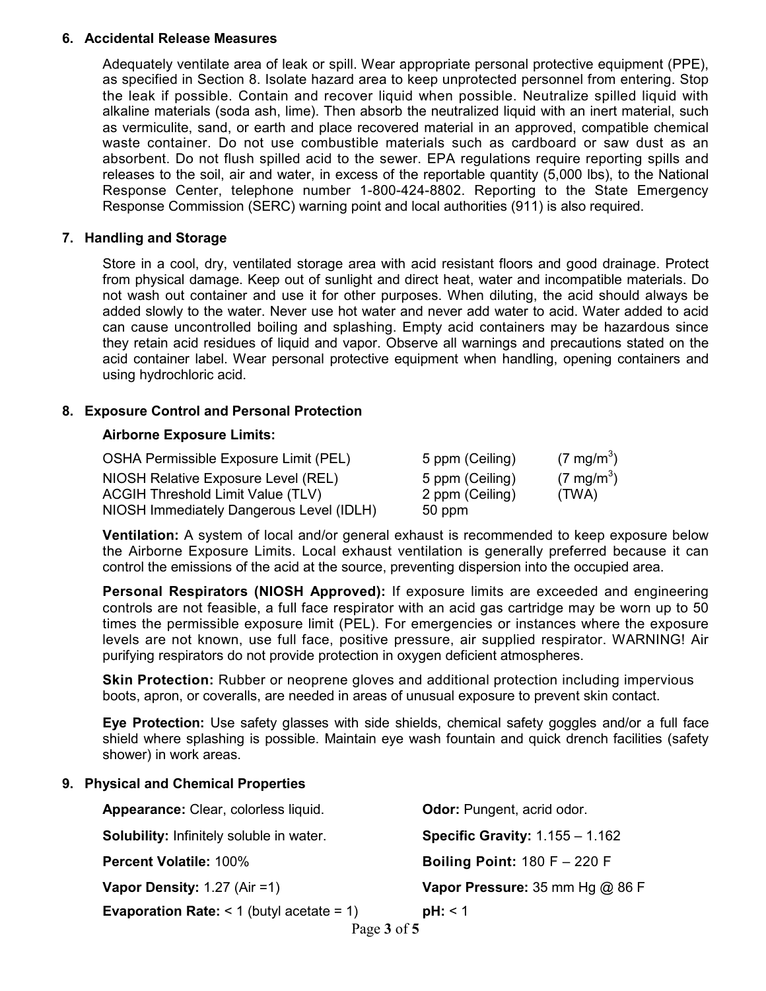#### **6. Accidental Release Measures**

Adequately ventilate area of leak or spill. Wear appropriate personal protective equipment (PPE), as specified in Section 8. Isolate hazard area to keep unprotected personnel from entering. Stop the leak if possible. Contain and recover liquid when possible. Neutralize spilled liquid with alkaline materials (soda ash, lime). Then absorb the neutralized liquid with an inert material, such as vermiculite, sand, or earth and place recovered material in an approved, compatible chemical waste container. Do not use combustible materials such as cardboard or saw dust as an absorbent. Do not flush spilled acid to the sewer. EPA regulations require reporting spills and releases to the soil, air and water, in excess of the reportable quantity (5,000 lbs), to the National Response Center, telephone number 1-800-424-8802. Reporting to the State Emergency Response Commission (SERC) warning point and local authorities (911) is also required.

#### **7. Handling and Storage**

Store in a cool, dry, ventilated storage area with acid resistant floors and good drainage. Protect from physical damage. Keep out of sunlight and direct heat, water and incompatible materials. Do not wash out container and use it for other purposes. When diluting, the acid should always be added slowly to the water. Never use hot water and never add water to acid. Water added to acid can cause uncontrolled boiling and splashing. Empty acid containers may be hazardous since they retain acid residues of liquid and vapor. Observe all warnings and precautions stated on the acid container label. Wear personal protective equipment when handling, opening containers and using hydrochloric acid.

#### **8. Exposure Control and Personal Protection**

#### **Airborne Exposure Limits:**

| OSHA Permissible Exposure Limit (PEL)    | 5 ppm (Ceiling) | $(7 \text{ mg/m}^3)$ |
|------------------------------------------|-----------------|----------------------|
| NIOSH Relative Exposure Level (REL)      | 5 ppm (Ceiling) | $(7 \text{ mg/m}^3)$ |
| <b>ACGIH Threshold Limit Value (TLV)</b> | 2 ppm (Ceiling) | (TWA)                |
| NIOSH Immediately Dangerous Level (IDLH) | 50 ppm          |                      |

**Ventilation:** A system of local and/or general exhaust is recommended to keep exposure below the Airborne Exposure Limits. Local exhaust ventilation is generally preferred because it can control the emissions of the acid at the source, preventing dispersion into the occupied area.

**Personal Respirators (NIOSH Approved):** If exposure limits are exceeded and engineering controls are not feasible, a full face respirator with an acid gas cartridge may be worn up to 50 times the permissible exposure limit (PEL). For emergencies or instances where the exposure levels are not known, use full face, positive pressure, air supplied respirator. WARNING! Air purifying respirators do not provide protection in oxygen deficient atmospheres.

**Skin Protection:** Rubber or neoprene gloves and additional protection including impervious boots, apron, or coveralls, are needed in areas of unusual exposure to prevent skin contact.

**Eye Protection:** Use safety glasses with side shields, chemical safety goggles and/or a full face shield where splashing is possible. Maintain eye wash fountain and quick drench facilities (safety shower) in work areas.

#### **9. Physical and Chemical Properties**

| Appearance: Clear, colorless liquid.                  | Odor: Pungent, acrid odor.        |
|-------------------------------------------------------|-----------------------------------|
| Solubility: Infinitely soluble in water.              | Specific Gravity: $1.155 - 1.162$ |
| <b>Percent Volatile: 100%</b>                         | Boiling Point: $180 F - 220 F$    |
| Vapor Density: $1.27$ (Air = 1)                       | Vapor Pressure: 35 mm Hg @ 86 F   |
| <b>Evaporation Rate:</b> $\leq$ 1 (butyl acetate = 1) | $pH: \leq 1$                      |
| Page 3 of 5                                           |                                   |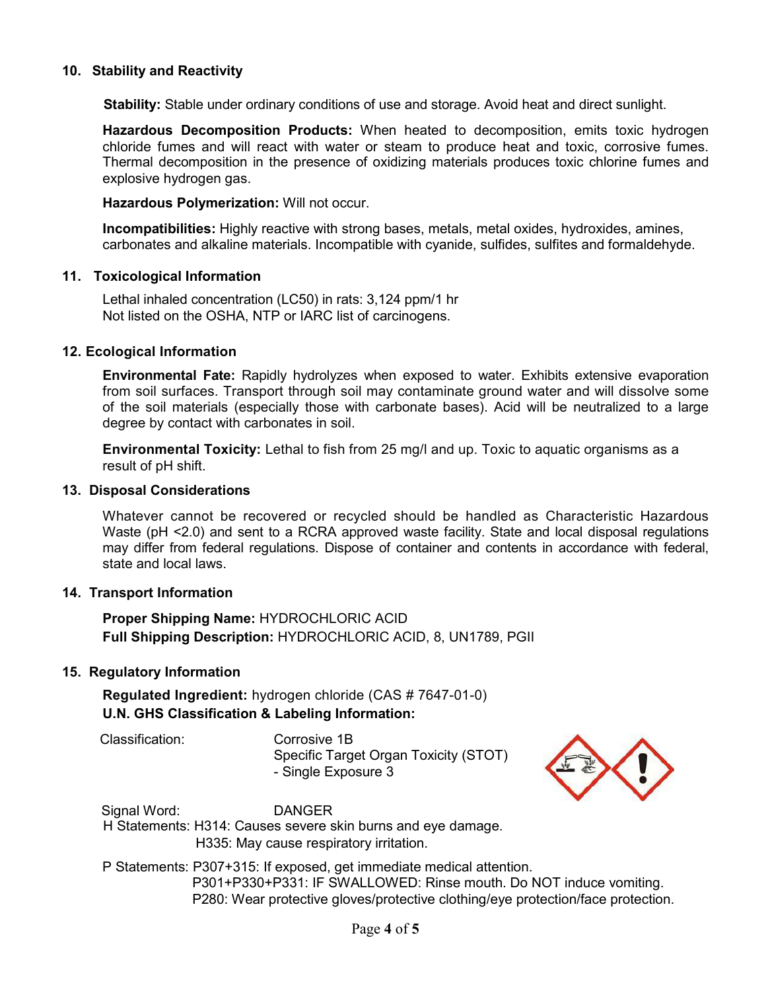#### **10. Stability and Reactivity**

 **Stability:** Stable under ordinary conditions of use and storage. Avoid heat and direct sunlight.

**Hazardous Decomposition Products:** When heated to decomposition, emits toxic hydrogen chloride fumes and will react with water or steam to produce heat and toxic, corrosive fumes. Thermal decomposition in the presence of oxidizing materials produces toxic chlorine fumes and explosive hydrogen gas.

**Hazardous Polymerization:** Will not occur.

**Incompatibilities:** Highly reactive with strong bases, metals, metal oxides, hydroxides, amines, carbonates and alkaline materials. Incompatible with cyanide, sulfides, sulfites and formaldehyde.

#### **11. Toxicological Information**

Lethal inhaled concentration (LC50) in rats: 3,124 ppm/1 hr Not listed on the OSHA, NTP or IARC list of carcinogens.

#### **12. Ecological Information**

**Environmental Fate:** Rapidly hydrolyzes when exposed to water. Exhibits extensive evaporation from soil surfaces. Transport through soil may contaminate ground water and will dissolve some of the soil materials (especially those with carbonate bases). Acid will be neutralized to a large degree by contact with carbonates in soil.

**Environmental Toxicity:** Lethal to fish from 25 mg/l and up. Toxic to aquatic organisms as a result of pH shift.

#### **13. Disposal Considerations**

Whatever cannot be recovered or recycled should be handled as Characteristic Hazardous Waste (pH <2.0) and sent to a RCRA approved waste facility. State and local disposal regulations may differ from federal regulations. Dispose of container and contents in accordance with federal, state and local laws.

### **14. Transport Information**

**Proper Shipping Name:** HYDROCHLORIC ACID **Full Shipping Description:** HYDROCHLORIC ACID, 8, UN1789, PGII

#### **15. Regulatory Information**

**Regulated Ingredient:** hydrogen chloride (CAS # 7647-01-0) **U.N. GHS Classification & Labeling Information:**

Classification: Corrosive 1B

Specific Target Organ Toxicity (STOT) - Single Exposure 3



 Signal Word: DANGER H Statements: H314: Causes severe skin burns and eye damage. H335: May cause respiratory irritation.

 P Statements: P307+315: If exposed, get immediate medical attention. P301+P330+P331: IF SWALLOWED: Rinse mouth. Do NOT induce vomiting. P280: Wear protective gloves/protective clothing/eye protection/face protection.